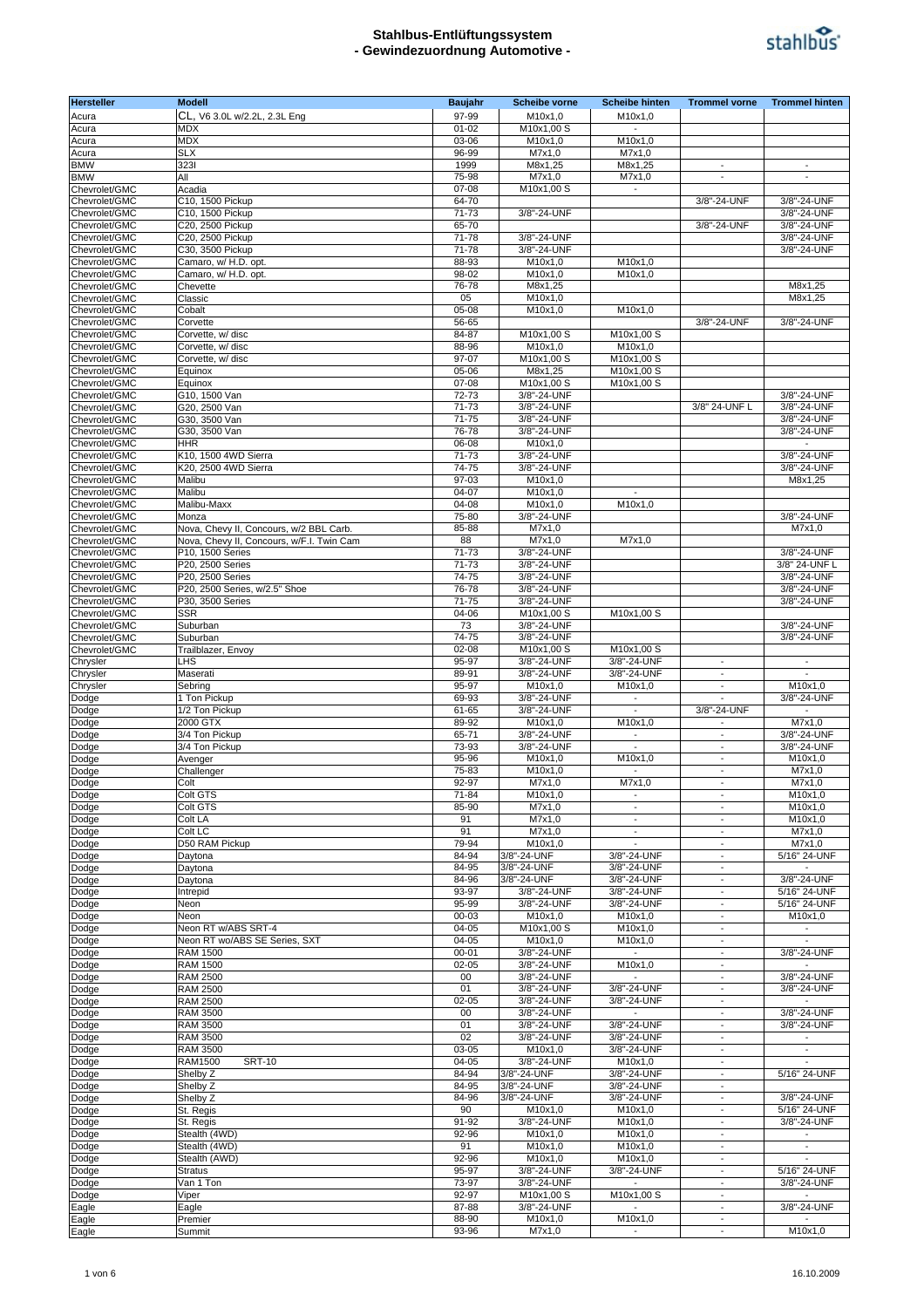

| <b>Hersteller</b> | <b>Modell</b>                             | Baujahr   | <b>Scheibe vorne</b>  | <b>Scheibe hinten</b>    | <b>Trommel vorne</b>     | <b>Trommel hinten</b>    |
|-------------------|-------------------------------------------|-----------|-----------------------|--------------------------|--------------------------|--------------------------|
| Acura             | CL, V6 3.0L w/2.2L, 2.3L Eng              | 97-99     | M10x1,0               | M10x1,0                  |                          |                          |
| Acura             | <b>MDX</b>                                | $01 - 02$ | M10x1,00 S            | $\sim$                   |                          |                          |
| Acura             | <b>MDX</b>                                | 03-06     | M10x1,0               | M10x1,0                  |                          |                          |
|                   |                                           | 96-99     |                       |                          |                          |                          |
| Acura             | <b>SLX</b>                                |           | M7x1,0                | M7x1,0                   |                          |                          |
| <b>BMW</b>        | 3231                                      | 1999      | M8x1,25               | M8x1,25                  | $\overline{\phantom{a}}$ | $\overline{\phantom{a}}$ |
| <b>BMW</b>        | All                                       | 75-98     | M7x1,0                | M7x1,0                   | $\overline{a}$           | $\overline{\phantom{a}}$ |
| Chevrolet/GMC     | Acadia                                    | 07-08     | M10x1.00 S            | $\sim$                   |                          |                          |
| Chevrolet/GMC     | C10, 1500 Pickup                          | 64-70     |                       |                          | 3/8"-24-UNF              | 3/8"-24-UNF              |
| Chevrolet/GMC     | C10, 1500 Pickup                          | 71-73     | 3/8"-24-UNF           |                          |                          | 3/8"-24-UNF              |
| Chevrolet/GMC     | C20, 2500 Pickup                          | 65-70     |                       |                          | 3/8"-24-UNF              | 3/8"-24-UNF              |
| Chevrolet/GMC     | C20, 2500 Pickup                          | 71-78     | 3/8"-24-UNF           |                          |                          | 3/8"-24-UNF              |
|                   |                                           |           |                       |                          |                          |                          |
| Chevrolet/GMC     | C30, 3500 Pickup                          | 71-78     | 3/8"-24-UNF           |                          |                          | 3/8"-24-UNF              |
| Chevrolet/GMC     | Camaro, w/ H.D. opt.                      | 88-93     | M10x1,0               | M10x1,0                  |                          |                          |
| Chevrolet/GMC     | Camaro, w/ H.D. opt.                      | 98-02     | M10x1,0               | M10x1,0                  |                          |                          |
| Chevrolet/GMC     | Chevette                                  | 76-78     | M8x1,25               |                          |                          | M8x1,25                  |
| Chevrolet/GMC     | Classic                                   | 05        | M10x1,0               |                          |                          | M8x1,25                  |
| Chevrolet/GMC     | Cobalt                                    | 05-08     | M10x1,0               | M10x1,0                  |                          |                          |
|                   |                                           |           |                       |                          |                          |                          |
| Chevrolet/GMC     | Corvette                                  | 56-65     |                       |                          | 3/8"-24-UNF              | 3/8"-24-UNF              |
| Chevrolet/GMC     | Corvette, w/ disc                         | 84-87     | M10x1,00 S            | M10x1,00 S               |                          |                          |
| Chevrolet/GMC     | Corvette, w/ disc                         | 88-96     | M10x1,0               | M10x1,0                  |                          |                          |
| Chevrolet/GMC     | Corvette, w/ disc                         | 97-07     | M10x1,00 S            | M10x1,00 S               |                          |                          |
| Chevrolet/GMC     | Equinox                                   | 05-06     | M8x1,25               | M10x1,00 S               |                          |                          |
| Chevrolet/GMC     | Equinox                                   | 07-08     | M10x1,00 S            | M10x1,00 S               |                          |                          |
| Chevrolet/GMC     | G10, 1500 Van                             | 72-73     | 3/8"-24-UNF           |                          |                          | 3/8"-24-UNF              |
|                   | G20, 2500 Van                             | 71-73     | 3/8"-24-UNF           |                          | 3/8" 24-UNF L            | 3/8"-24-UNF              |
| Chevrolet/GMC     |                                           |           |                       |                          |                          |                          |
| Chevrolet/GMC     | G30, 3500 Van                             | 71-75     | 3/8"-24-UNF           |                          |                          | 3/8"-24-UNF              |
| Chevrolet/GMC     | G30, 3500 Van                             | 76-78     | 3/8"-24-UNF           |                          |                          | 3/8"-24-UNF              |
| Chevrolet/GMC     | <b>HHR</b>                                | 06-08     | M10x1,0               |                          |                          |                          |
| Chevrolet/GMC     | K10, 1500 4WD Sierra                      | 71-73     | 3/8"-24-UNF           |                          |                          | 3/8"-24-UNF              |
| Chevrolet/GMC     | K20, 2500 4WD Sierra                      | 74-75     | 3/8"-24-UNF           |                          |                          | 3/8"-24-UNF              |
| Chevrolet/GMC     | Malibu                                    | 97-03     | M10x1,0               |                          |                          | M8x1,25                  |
|                   |                                           |           |                       |                          |                          |                          |
| Chevrolet/GMC     | Malibu                                    | 04-07     | M10x1,0               |                          |                          |                          |
| Chevrolet/GMC     | Malibu-Maxx                               | 04-08     | M10x1,0               | M10x1,0                  |                          |                          |
| Chevrolet/GMC     | Monza                                     | 75-80     | 3/8"-24-UNF           |                          |                          | 3/8"-24-UNF              |
| Chevrolet/GMC     | Nova, Chevy II, Concours, w/2 BBL Carb.   | 85-88     | M7x1,0                |                          |                          | M7x1,0                   |
| Chevrolet/GMC     | Nova, Chevy II, Concours, w/F.I. Twin Cam | 88        | M7x1,0                | M7x1,0                   |                          |                          |
| Chevrolet/GMC     | P10, 1500 Series                          | 71-73     | 3/8"-24-UNF           |                          |                          | 3/8"-24-UNF              |
|                   |                                           |           | 3/8"-24-UNF           |                          |                          | 3/8" 24-UNF L            |
| Chevrolet/GMC     | P20, 2500 Series                          | 71-73     |                       |                          |                          |                          |
| Chevrolet/GMC     | P20, 2500 Series                          | 74-75     | 3/8"-24-UNF           |                          |                          | 3/8"-24-UNF              |
| Chevrolet/GMC     | P20, 2500 Series, w/2.5" Shoe             | 76-78     | 3/8"-24-UNF           |                          |                          | 3/8"-24-UNF              |
| Chevrolet/GMC     | P30, 3500 Series                          | 71-75     | 3/8"-24-UNF           |                          |                          | 3/8"-24-UNF              |
| Chevrolet/GMC     | <b>SSR</b>                                | 04-06     | M10x1,00 S            | M10x1,00 S               |                          |                          |
| Chevrolet/GMC     | Suburban                                  | 73        | 3/8"-24-UNF           |                          |                          | 3/8"-24-UNF              |
| Chevrolet/GMC     | Suburban                                  | 74-75     | 3/8"-24-UNF           |                          |                          | 3/8"-24-UNF              |
|                   |                                           | 02-08     |                       | M10x1,00 S               |                          |                          |
| Chevrolet/GMC     | Trailblazer, Envoy                        |           | M10x1,00 S            |                          |                          |                          |
| Chrysler          | LHS                                       | 95-97     | 3/8"-24-UNF           | 3/8"-24-UNF              | $\overline{\phantom{a}}$ |                          |
| Chrysler          | Maserati                                  | 89-91     | 3/8"-24-UNF           | 3/8"-24-UNF              | $\overline{\phantom{a}}$ |                          |
| Chrysler          | Sebring                                   | 95-97     | M10x1,0               | M10x1,0                  | $\overline{\phantom{a}}$ | M10x1,0                  |
| Dodge             | 1 Ton Pickup                              | 69-93     | 3/8"-24-UNF           |                          |                          | 3/8"-24-UNF              |
| Dodge             | 1/2 Ton Pickup                            | 61-65     | 3/8"-24-UNF           |                          | 3/8"-24-UNF              |                          |
| Dodge             | 2000 GTX                                  | 89-92     | M10x1,0               | M10x1.0                  |                          | M7x1,0                   |
|                   |                                           |           |                       |                          |                          |                          |
| Dodge             | 3/4 Ton Pickup                            | 65-71     | 3/8"-24-UNF           | $\blacksquare$           | $\blacksquare$           | 3/8"-24-UNF              |
| Dodge             | 3/4 Ton Pickup                            | 73-93     | 3/8"-24-UNF           |                          | $\blacksquare$           | 3/8"-24-UNF              |
| Dodge             | Avenger                                   | 95-96     | M10x1,0               | M10x1,0                  | $\overline{\phantom{a}}$ | M10x1,0                  |
| Dodge             | Challenger                                | 75-83     | M10x1,0               |                          | $\overline{\phantom{a}}$ | M7x1,0                   |
| Dodge             | Colt                                      | 92-97     | M7x1,0                | M7x1.0                   | $\overline{\phantom{a}}$ | M7x1,0                   |
| Dodge             | Colt GTS                                  | 71-84     | M10x1,0               |                          |                          | M10x1,0                  |
|                   | Colt GTS                                  | 85-90     | M7x1,0                | $\overline{\phantom{a}}$ | $\overline{\phantom{a}}$ | M10x1,0                  |
| Dodge             |                                           |           |                       |                          |                          |                          |
| Dodge             | Colt LA                                   | 91        | M7x1,0                | $\blacksquare$           | $\overline{a}$           | M10x1,0                  |
| Dodge             | Colt LC                                   | 91        | M7x1,0                | $\overline{\phantom{a}}$ | $\overline{\phantom{a}}$ | M7x1,0                   |
| Dodge             | D50 RAM Pickup                            | 79-94     | M10x1,0               |                          | $\overline{\phantom{a}}$ | M7x1.0                   |
| Dodge             | Daytona                                   | 84-94     | 3/8"-24-UNF           | 3/8"-24-UNF              | $\blacksquare$           | 5/16" 24-UNF             |
| Dodge             | Daytona                                   | 84-95     | 3/8"-24-UNF           | 3/8"-24-UNF              | $\sim$                   | $\overline{\phantom{a}}$ |
| Dodge             | Daytona                                   | 84-96     | 3/8"-24-UNF           | 3/8"-24-UNF              | $\overline{\phantom{a}}$ | 3/8"-24-UNF              |
|                   |                                           | 93-97     | 3/8"-24-UNF           | 3/8"-24-UNF              | $\overline{\phantom{a}}$ | 5/16" 24-UNF             |
| Dodge             | Intrepid                                  |           |                       |                          |                          |                          |
| Dodge             | Neon                                      | 95-99     | 3/8"-24-UNF           | 3/8"-24-UNF              | $\overline{\phantom{a}}$ | 5/16" 24-UNF             |
| Dodge             | Neon                                      | 00-03     | M10x1,0               | M10x1,0                  | $\blacksquare$           | M10x1,0                  |
| Dodge             | Neon RT w/ABS SRT-4                       | 04-05     | M10x1,00 S            | M10x1,0                  | $\blacksquare$           | $\overline{\phantom{a}}$ |
| Dodge             | Neon RT wo/ABS SE Series, SXT             | 04-05     | M10x1,0               | M10x1,0                  | $\overline{\phantom{a}}$ | $\mathbf{r}$             |
| Dodge             | <b>RAM 1500</b>                           | $00 - 01$ | 3/8"-24-UNF           | $\overline{\phantom{a}}$ | $\overline{\phantom{a}}$ | 3/8"-24-UNF              |
| Dodge             | <b>RAM 1500</b>                           | $02 - 05$ | 3/8"-24-UNF           | M10x1,0                  | $\overline{\phantom{a}}$ |                          |
| Dodge             | <b>RAM 2500</b>                           | 00        | 3/8"-24-UNF           | $\sim$                   | $\overline{\phantom{a}}$ | 3/8"-24-UNF              |
|                   |                                           | 01        |                       | 3/8"-24-UNF              |                          | 3/8"-24-UNF              |
| Dodge             | <b>RAM 2500</b>                           |           | 3/8"-24-UNF           |                          | $\overline{\phantom{a}}$ |                          |
| Dodge             | <b>RAM 2500</b>                           | $02 - 05$ | 3/8"-24-UNF           | 3/8"-24-UNF              | $\overline{\phantom{a}}$ |                          |
| Dodge             | <b>RAM 3500</b>                           | 00        | 3/8"-24-UNF           | $\overline{\phantom{a}}$ | $\overline{\phantom{a}}$ | 3/8"-24-UNF              |
| Dodge             | <b>RAM 3500</b>                           | 01        | 3/8"-24-UNF           | 3/8"-24-UNF              | $\overline{\phantom{a}}$ | 3/8"-24-UNF              |
| Dodge             | <b>RAM 3500</b>                           | 02        | 3/8"-24-UNF           | 3/8"-24-UNF              | $\overline{\phantom{a}}$ |                          |
| Dodge             | <b>RAM 3500</b>                           | 03-05     | M10x1,0               | 3/8"-24-UNF              | $\overline{\phantom{a}}$ | $\overline{\phantom{a}}$ |
| Dodge             | <b>RAM1500</b><br><b>SRT-10</b>           | 04-05     | 3/8"-24-UNF           | M10x1,0                  | $\overline{\phantom{a}}$ |                          |
|                   |                                           |           |                       | 3/8"-24-UNF              | $\blacksquare$           |                          |
| Dodge             | Shelby Z                                  | 84-94     | 3/8"-24-UNF           |                          |                          | 5/16" 24-UNF             |
| Dodge             | Shelby Z                                  | 84-95     | 3/8"-24-UNF           | 3/8"-24-UNF              | $\overline{\phantom{a}}$ |                          |
| Dodge             | Shelby Z                                  | 84-96     | 3/8"-24-UNF           | 3/8"-24-UNF              | $\blacksquare$           | 3/8"-24-UNF              |
| Dodge             | St. Regis                                 | 90        | M10x1,0               | M10x1,0                  | $\overline{\phantom{a}}$ | 5/16" 24-UNF             |
| Dodge             | St. Regis                                 | 91-92     | 3/8"-24-UNF           | M10x1,0                  | $\blacksquare$           | 3/8"-24-UNF              |
| Dodge             | Stealth (4WD)                             | 92-96     | M10x1,0               | M10x1,0                  | $\overline{\phantom{a}}$ |                          |
|                   | Stealth (4WD)                             | 91        | M10x1,0               | M10x1,0                  | $\overline{\phantom{a}}$ | $\overline{\phantom{a}}$ |
| Dodge             |                                           |           |                       |                          |                          |                          |
| Dodge             | Stealth (AWD)                             | 92-96     | $\overline{M}$ 10x1,0 | M10x1,0                  | $\overline{\phantom{a}}$ |                          |
| Dodge             | <b>Stratus</b>                            | 95-97     | 3/8"-24-UNF           | 3/8"-24-UNF              | $\overline{\phantom{a}}$ | 5/16" 24-UNF             |
| Dodge             | Van 1 Ton                                 | 73-97     | 3/8"-24-UNF           |                          | $\overline{\phantom{a}}$ | 3/8"-24-UNF              |
| Dodge             | Viper                                     | 92-97     | M10x1,00 S            | M10x1,00 S               | $\overline{\phantom{a}}$ |                          |
| Eagle             | Eagle                                     | 87-88     | 3/8"-24-UNF           |                          | $\overline{\phantom{a}}$ | 3/8"-24-UNF              |
| Eagle             | Premier                                   | 88-90     | M10x1,0               | M10x1,0                  | $\overline{\phantom{a}}$ | $\overline{\phantom{a}}$ |
| Eagle             | Summit                                    | 93-96     | M7x1,0                | $\overline{\phantom{a}}$ | $\overline{\phantom{a}}$ | M10x1,0                  |
|                   |                                           |           |                       |                          |                          |                          |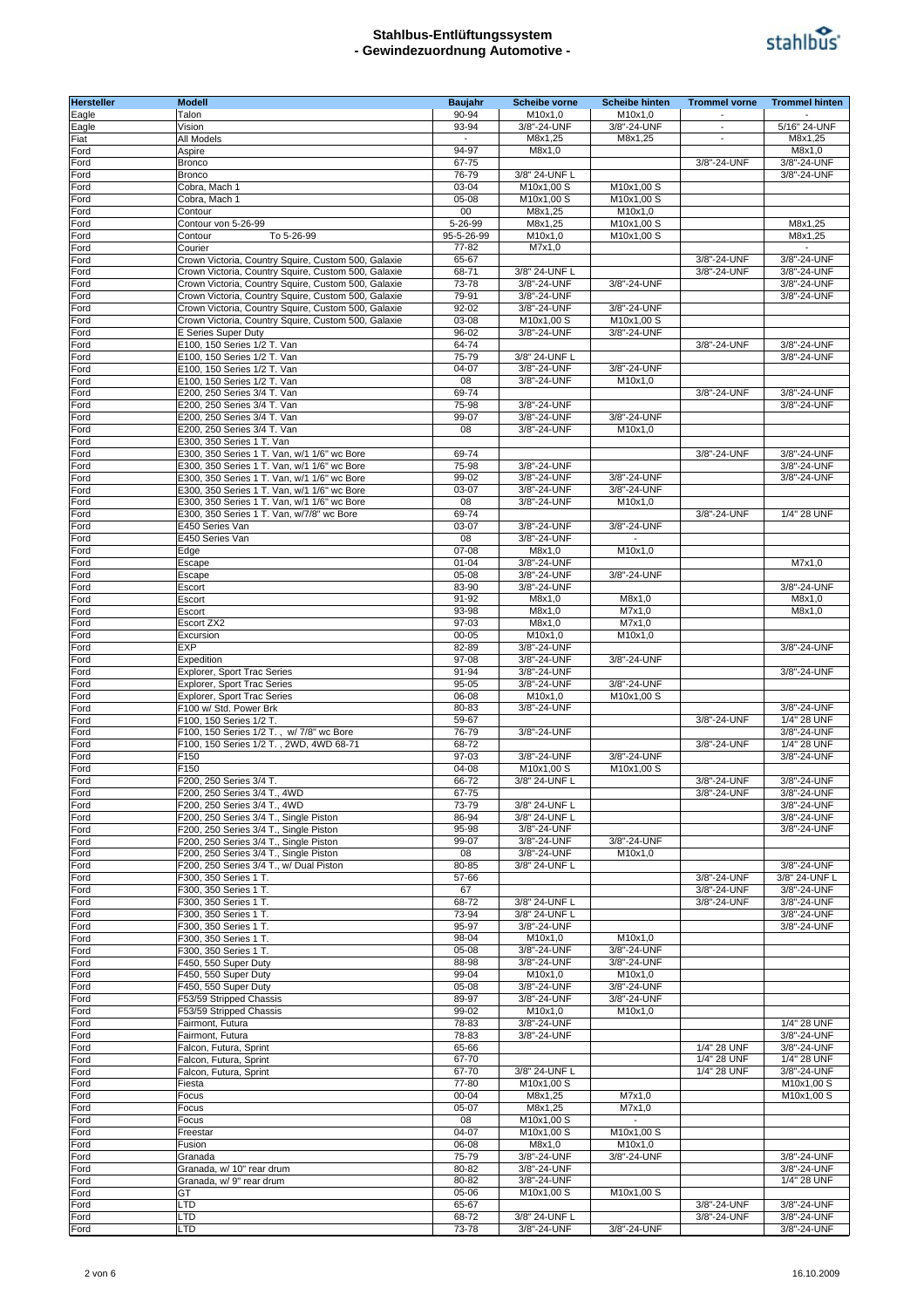

| Hersteller    | <b>Modell</b>                                       | <b>Baujahr</b> | Scheibe vorne | <b>Scheibe hinten</b> | <b>Trommel vorne</b>     | <b>Trommel hinten</b>    |
|---------------|-----------------------------------------------------|----------------|---------------|-----------------------|--------------------------|--------------------------|
| Eagle         | Talon                                               | 90-94          | M10x1,0       | M10x1,0               |                          |                          |
| Eagle         | Vision                                              | 93-94          | 3/8"-24-UNF   | 3/8"-24-UNF           | $\overline{\phantom{a}}$ | 5/16" 24-UNF             |
| Fiat          | All Models                                          | $\blacksquare$ | M8x1,25       | M8x1,25               | $\overline{a}$           | M8x1,25                  |
| Ford          | Aspire                                              | 94-97          | M8x1,0        |                       |                          | M8x1,0                   |
| Ford          | <b>Bronco</b>                                       | 67-75          |               |                       | 3/8"-24-UNF              | 3/8"-24-UNF              |
| Ford          | Bronco                                              | 76-79          | 3/8" 24-UNF L |                       |                          | 3/8"-24-UNF              |
| Ford          | Cobra, Mach 1                                       | 03-04          | M10x1,00 S    | M10x1,00 S            |                          |                          |
| $\bar{F}$ ord | Cobra, Mach 1                                       | 05-08          | M10x1,00 S    | M10x1,00 S            |                          |                          |
| Ford          | Contour                                             | $00\,$         | M8x1,25       | M10x1,0               |                          |                          |
| Ford          | Contour von 5-26-99                                 | 5-26-99        | M8x1,25       | M10x1,00 S            |                          | M8x1,25                  |
| Ford          | To 5-26-99<br>Contour                               | 95-5-26-99     | M10x1,0       | M10x1,00 S            |                          | M8x1,25                  |
| Ford          | Courier                                             | 77-82          | M7x1,0        |                       |                          | $\overline{\phantom{a}}$ |
| $\bar{F}$ ord | Crown Victoria, Country Squire, Custom 500, Galaxie | 65-67          |               |                       | 3/8"-24-UNF              | 3/8"-24-UNF              |
| Ford          | Crown Victoria, Country Squire, Custom 500, Galaxie | 68-71          | 3/8" 24-UNF L |                       | 3/8"-24-UNF              | 3/8"-24-UNF              |
| Ford          | Crown Victoria, Country Squire, Custom 500, Galaxie | 73-78          | 3/8"-24-UNF   | 3/8"-24-UNF           |                          | 3/8"-24-UNF              |
| Ford          | Crown Victoria, Country Squire, Custom 500, Galaxie | 79-91          | 3/8"-24-UNF   |                       |                          | 3/8"-24-UNF              |
| Ford          | Crown Victoria, Country Squire, Custom 500, Galaxie | 92-02          | 3/8"-24-UNF   | 3/8"-24-UNF           |                          |                          |
| Ford          | Crown Victoria, Country Squire, Custom 500, Galaxie | 03-08          | M10x1,00 S    | M10x1,00 S            |                          |                          |
| Ford          | E Series Super Duty                                 | 96-02          | 3/8"-24-UNF   | 3/8"-24-UNF           |                          |                          |
| Ford          | E100, 150 Series 1/2 T. Van                         | 64-74          |               |                       | 3/8"-24-UNF              | 3/8"-24-UNF              |
| Ford          | E100, 150 Series 1/2 T. Van                         | 75-79          | 3/8" 24-UNF L |                       |                          | 3/8"-24-UNF              |
| Ford          | E100, 150 Series 1/2 T. Van                         | 04-07          | 3/8"-24-UNF   | 3/8"-24-UNF           |                          |                          |
| Ford          | E100, 150 Series 1/2 T. Van                         | 08             | 3/8"-24-UNF   | M10x1,0               |                          |                          |
| Ford          | E200, 250 Series 3/4 T. Van                         | 69-74          |               |                       | 3/8"-24-UNF              | 3/8"-24-UNF              |
| Ford          | E200, 250 Series 3/4 T. Van                         | 75-98          | 3/8"-24-UNF   |                       |                          | 3/8"-24-UNF              |
| Ford          | E200, 250 Series 3/4 T. Van                         | 99-07          | 3/8"-24-UNF   | 3/8"-24-UNF           |                          |                          |
| Ford          | E200, 250 Series 3/4 T. Van                         | 08             | 3/8"-24-UNF   | M10x1,0               |                          |                          |
| Ford          | E300, 350 Series 1 T. Van                           |                |               |                       |                          |                          |
| Ford          | E300, 350 Series 1 T. Van, w/1 1/6" wc Bore         | 69-74          |               |                       | 3/8"-24-UNF              | 3/8"-24-UNF              |
| Ford          | E300, 350 Series 1 T. Van, w/1 1/6" wc Bore         | 75-98          | 3/8"-24-UNF   |                       |                          | 3/8"-24-UNF              |
| Ford          | E300, 350 Series 1 T. Van, w/1 1/6" wc Bore         | 99-02          | 3/8"-24-UNF   | 3/8"-24-UNF           |                          | 3/8"-24-UNF              |
| Ford          | E300, 350 Series 1 T. Van. w/1 1/6" wc Bore         | 03-07          | 3/8"-24-UNF   | 3/8"-24-UNF           |                          |                          |
| Ford          | E300, 350 Series 1 T. Van, w/1 1/6" wc Bore         | 08             | 3/8"-24-UNF   | M10x1,0               |                          |                          |
| Ford          | E300, 350 Series 1 T. Van, w/7/8" wc Bore           | 69-74          |               |                       | 3/8"-24-UNF              | 1/4" 28 UNF              |
|               | E450 Series Van                                     | 03-07          | 3/8"-24-UNF   | 3/8"-24-UNF           |                          |                          |
| Ford          |                                                     |                |               |                       |                          |                          |
| Ford          | E450 Series Van                                     | 08             | 3/8"-24-UNF   |                       |                          |                          |
| Ford          | Edge                                                | 07-08          | M8x1,0        | M10x1,0               |                          |                          |
| Ford          | Escape                                              | $01 - 04$      | 3/8"-24-UNF   |                       |                          | M7x1,0                   |
| Ford          | Escape                                              | 05-08          | 3/8"-24-UNF   | 3/8"-24-UNF           |                          |                          |
| Ford          | Escort                                              | 83-90          | 3/8"-24-UNF   |                       |                          | 3/8"-24-UNF              |
| Ford          | Escort                                              | 91-92          | M8x1,0        | M8x1,0                |                          | M8x1,0                   |
| Ford          | Escort                                              | 93-98          | M8x1,0        | M7x1,0                |                          | M8x1,0                   |
| Ford          | Escort ZX2                                          | 97-03          | M8x1,0        | M7x1,0                |                          |                          |
| Ford          | Excursion                                           | $00 - 05$      | M10x1,0       | M10x1,0               |                          |                          |
| Ford          | EXP                                                 | 82-89          | 3/8"-24-UNF   |                       |                          | 3/8"-24-UNF              |
| Ford          | Expedition                                          | 97-08          | 3/8"-24-UNF   | 3/8"-24-UNF           |                          |                          |
| Ford          | Explorer, Sport Trac Series                         | 91-94          | 3/8"-24-UNF   |                       |                          | 3/8"-24-UNF              |
| Ford          | Explorer, Sport Trac Series                         | 95-05          | 3/8"-24-UNF   | 3/8"-24-UNF           |                          |                          |
| Ford          | Explorer, Sport Trac Series                         | 06-08          | M10x1,0       | M10x1,00 S            |                          |                          |
| Ford          | F100 w/ Std. Power Brk                              | 80-83          | 3/8"-24-UNF   |                       |                          | 3/8"-24-UNF              |
| Ford          | F100, 150 Series 1/2 T.                             | 59-67          |               |                       | 3/8"-24-UNF              | 1/4" 28 UNF              |
| Ford          | F100, 150 Series 1/2 T., w/ 7/8" wc Bore            | 76-79          | 3/8"-24-UNF   |                       |                          | 3/8"-24-UNF              |
| Ford          | F100, 150 Series 1/2 T., 2WD, 4WD 68-71             | 68-72          |               |                       | 3/8"-24-UNF              | 1/4" 28 UNF              |
| Ford          | F150                                                | 97-03          | 3/8"-24-UNF   | 3/8"-24-UNF           |                          | 3/8"-24-UNF              |
| Ford          | F150                                                | 04-08          | M10x1,00 S    | M10x1,00 S            |                          |                          |
| Ford          | F200, 250 Series 3/4 T.                             | 66-72          | 3/8" 24-UNF L |                       | 3/8"-24-UNF              | 3/8"-24-UNF              |
| Ford          | F200, 250 Series 3/4 T., 4WD                        | 67-75          |               |                       | 3/8"-24-UNF              | 3/8"-24-UNF              |
| Ford          | F200, 250 Series 3/4 T., 4WD                        | 73-79          | 3/8" 24-UNF L |                       |                          | 3/8"-24-UNF              |
| Ford          | F200, 250 Series 3/4 T., Single Piston              | 86-94          | 3/8" 24-UNF L |                       |                          | 3/8"-24-UNF              |
| Ford          | F200, 250 Series 3/4 T., Single Piston              | 95-98          | 3/8"-24-UNF   |                       |                          | 3/8"-24-UNF              |
| Ford          | F200, 250 Series 3/4 T., Single Piston              | 99-07          | 3/8"-24-UNF   | 3/8"-24-UNF           |                          |                          |
| Ford          | F200, 250 Series 3/4 T., Single Piston              | 08             | 3/8"-24-UNF   | M10x1,0               |                          |                          |
| Ford          | F200, 250 Series 3/4 T., w/ Dual Piston             | 80-85          | 3/8" 24-UNF L |                       |                          | 3/8"-24-UNF              |
| Ford          | F300, 350 Series 1 T.                               | 57-66          |               |                       | 3/8"-24-UNF              | 3/8" 24-UNF L            |
| Ford          | F300, 350 Series 1 T.                               | 67             |               |                       | 3/8"-24-UNF              | 3/8"-24-UNF              |
| Ford          | F300, 350 Series 1 T.                               | 68-72          | 3/8" 24-UNF L |                       | 3/8"-24-UNF              | 3/8"-24-UNF              |
| Ford          | F300, 350 Series 1 T.                               | 73-94          | 3/8" 24-UNF L |                       |                          | 3/8"-24-UNF              |
| Ford          | F300, 350 Series 1 T.                               | 95-97          | 3/8"-24-UNF   |                       |                          | 3/8"-24-UNF              |
| Ford          | F300, 350 Series 1 T.                               | 98-04          | M10x1,0       | M10x1.0               |                          |                          |
| Ford          | F300, 350 Series 1 T.                               | 05-08          | 3/8"-24-UNF   | 3/8"-24-UNF           |                          |                          |
| Ford          | F450, 550 Super Duty                                | 88-98          | 3/8"-24-UNF   | 3/8"-24-UNF           |                          |                          |
| Ford          | F450, 550 Super Duty                                | 99-04          | M10x1,0       | M10x1,0               |                          |                          |
| Ford          | F450, 550 Super Duty                                | 05-08          | 3/8"-24-UNF   | 3/8"-24-UNF           |                          |                          |
| Ford          | F53/59 Stripped Chassis                             | 89-97          | 3/8"-24-UNF   | 3/8"-24-UNF           |                          |                          |
| Ford          | F53/59 Stripped Chassis                             | 99-02          | M10x1,0       | M10x1,0               |                          |                          |
| Ford          | Fairmont, Futura                                    | 78-83          | 3/8"-24-UNF   |                       |                          | 1/4" 28 UNF              |
|               | Fairmont, Futura                                    |                | 3/8"-24-UNF   |                       |                          | 3/8"-24-UNF              |
| Ford          |                                                     | 78-83<br>65-66 |               |                       | 1/4" 28 UNF              | 3/8"-24-UNF              |
| Ford<br>Ford  | Falcon, Futura, Sprint<br>Falcon, Futura, Sprint    | 67-70          |               |                       | 1/4" 28 UNF              | 1/4" 28 UNF              |
|               |                                                     |                | 3/8" 24-UNF L |                       | 1/4" 28 UNF              | 3/8"-24-UNF              |
| Ford          | Falcon, Futura, Sprint                              | 67-70          |               |                       |                          |                          |
| Ford          | Fiesta                                              | 77-80          | M10x1,00 S    |                       |                          | M10x1,00 S               |
| Ford          | Focus                                               | 00-04          | M8x1,25       | M7x1,0                |                          | M10x1,00 S               |
| Ford          | Focus                                               | 05-07          | M8x1,25       | M7x1,0                |                          |                          |
| Ford          | Focus                                               | 08             | M10x1,00 S    | $\sim$                |                          |                          |
| Ford          | Freestar                                            | 04-07          | M10x1,00 S    | M10x1,00 S            |                          |                          |
| Ford          | Fusion                                              | 06-08          | M8x1,0        | M10x1,0               |                          |                          |
| Ford          | Granada                                             | 75-79          | 3/8"-24-UNF   | 3/8"-24-UNF           |                          | 3/8"-24-UNF              |
| Ford          | Granada, w/ 10" rear drum                           | 80-82          | 3/8"-24-UNF   |                       |                          | 3/8"-24-UNF              |
| Ford          | Granada, w/ 9" rear drum                            | 80-82          | 3/8"-24-UNF   |                       |                          | 1/4" 28 UNF              |
| Ford          | GT                                                  | 05-06          | M10x1,00 S    | M10x1,00 S            |                          |                          |
| Ford          | LTD                                                 | 65-67          |               |                       | 3/8"-24-UNF              | 3/8"-24-UNF              |
| Ford          | LTD                                                 | 68-72          | 3/8" 24-UNF L |                       | 3/8"-24-UNF              | 3/8"-24-UNF              |
| Ford          | LTD                                                 | 73-78          | 3/8"-24-UNF   | 3/8"-24-UNF           |                          | 3/8"-24-UNF              |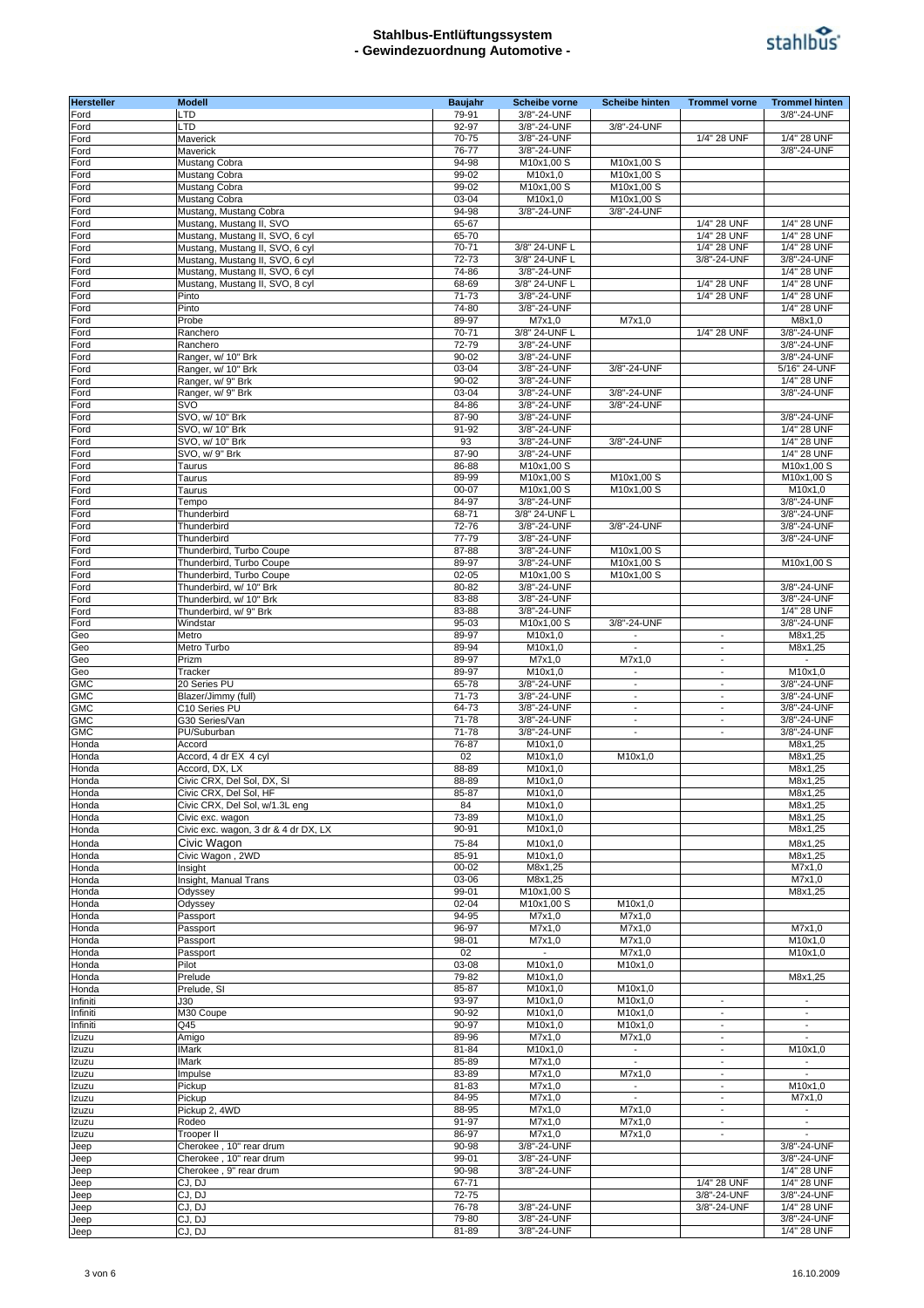

| Hersteller     | <b>Modell</b>                                      | <b>Baujahr</b> | <b>Scheibe vorne</b>         | <b>Scheibe hinten</b>    | <b>Trommel vorne</b>                                 | <b>Trommel hinten</b>                      |
|----------------|----------------------------------------------------|----------------|------------------------------|--------------------------|------------------------------------------------------|--------------------------------------------|
| Ford           | <b>LTD</b>                                         | 79-91          | 3/8"-24-UNF                  |                          |                                                      | 3/8"-24-UNF                                |
| Ford           | LTD                                                | 92-97          | 3/8"-24-UNF                  | 3/8"-24-UNF              |                                                      |                                            |
| Ford           | Maverick                                           | 70-75          | 3/8"-24-UNF                  |                          | 1/4" 28 UNF                                          | 1/4" 28 UNF                                |
| Ford           | Maverick                                           | 76-77          | 3/8"-24-UNF                  |                          |                                                      | 3/8"-24-UNF                                |
| Ford           | Mustang Cobra                                      | 94-98<br>99-02 | M10x1,00 S<br>M10x1,0        | M10x1,00 S<br>M10x1,00 S |                                                      |                                            |
| Ford<br>Ford   | Mustang Cobra<br>Mustang Cobra                     | 99-02          | M10x1,00 S                   | M10x1,00 S               |                                                      |                                            |
| Ford           | Mustang Cobra                                      | 03-04          | M10x1,0                      | M10x1,00 S               |                                                      |                                            |
| Ford           | Mustang, Mustang Cobra                             | 94-98          | 3/8"-24-UNF                  | 3/8"-24-UNF              |                                                      |                                            |
| Ford           | Mustang, Mustang II, SVO                           | 65-67          |                              |                          | 1/4" 28 UNF                                          | 1/4" 28 UNF                                |
| Ford           | Mustang, Mustang II, SVO, 6 cyl                    | 65-70          |                              |                          | 1/4" 28 UNF                                          | 1/4" 28 UNF                                |
| Ford           | Mustang, Mustang II, SVO, 6 cyl                    | 70-71          | 3/8" 24-UNF L                |                          | 1/4" 28 UNF                                          | 1/4" 28 UNF                                |
| Ford           | Mustang, Mustang II, SVO, 6 cyl                    | 72-73          | 3/8" 24-UNF L                |                          | 3/8"-24-UNF                                          | 3/8"-24-UNF                                |
| Ford           | Mustang, Mustang II, SVO, 6 cyl                    | 74-86          | 3/8"-24-UNF                  |                          |                                                      | 1/4" 28 UNF                                |
| Ford           | Mustang, Mustang II, SVO, 8 cyl                    | 68-69          | 3/8" 24-UNF L                |                          | 1/4" 28 UNF                                          | 1/4" 28 UNF                                |
| Ford           | Pinto                                              | $71 - 73$      | 3/8"-24-UNF                  |                          | 1/4" 28 UNF                                          | 1/4" 28 UNF                                |
| Ford           | Pinto                                              | 74-80          | 3/8"-24-UNF                  |                          |                                                      | 1/4" 28 UNF                                |
| Ford           | Probe                                              | 89-97          | M7x1,0                       | M7x1,0                   |                                                      | M8x1,0                                     |
| Ford<br>Ford   | Ranchero<br>Ranchero                               | 70-71<br>72-79 | 3/8" 24-UNF L<br>3/8"-24-UNF |                          | 1/4" 28 UNF                                          | 3/8"-24-UNF<br>3/8"-24-UNF                 |
| Ford           | Ranger, w/ 10" Brk                                 | 90-02          | 3/8"-24-UNF                  |                          |                                                      | 3/8"-24-UNF                                |
| Ford           | Ranger, w/ 10" Brk                                 | 03-04          | 3/8"-24-UNF                  | 3/8"-24-UNF              |                                                      | 5/16" 24-UNF                               |
| Ford           | Ranger, w/ 9" Brk                                  | $90 - 02$      | 3/8"-24-UNF                  |                          |                                                      | 1/4" 28 UNF                                |
| Ford           | Ranger, w/ 9" Brk                                  | 03-04          | 3/8"-24-UNF                  | 3/8"-24-UNF              |                                                      | 3/8"-24-UNF                                |
| Ford           | SVO                                                | 84-86          | 3/8"-24-UNF                  | 3/8"-24-UNF              |                                                      |                                            |
| Ford           | SVO, w/ 10" Brk                                    | 87-90          | 3/8"-24-UNF                  |                          |                                                      | 3/8"-24-UNF                                |
| Ford           | $\overline{SVO}$ , w/ 10" Brk                      | 91-92          | 3/8"-24-UNF                  |                          |                                                      | 1/4" 28 UNF                                |
| Ford           | SVO, w/ 10" Brk                                    | 93             | 3/8"-24-UNF                  | 3/8"-24-UNF              |                                                      | 1/4" 28 UNF                                |
| Ford           | SVO, w/ 9" Brk                                     | 87-90          | 3/8"-24-UNF                  |                          |                                                      | 1/4" 28 UNF                                |
| Ford           | Taurus                                             | 86-88          | M10x1,00 S                   |                          |                                                      | M10x1,00 S                                 |
| Ford           | Taurus                                             | 89-99<br>00-07 | M10x1,00 S<br>M10x1,00 S     | M10x1,00 S<br>M10x1,00 S |                                                      | M10x1,00 S                                 |
| Ford<br>Ford   | Taurus<br>Tempo                                    | 84-97          | 3/8"-24-UNF                  |                          |                                                      | M10x1,0<br>3/8"-24-UNF                     |
| Ford           | Thunderbird                                        | 68-71          | 3/8" 24-UNF L                |                          |                                                      | 3/8"-24-UNF                                |
| Ford           | Thunderbird                                        | 72-76          | 3/8"-24-UNF                  | 3/8"-24-UNF              |                                                      | 3/8"-24-UNF                                |
| Ford           | Thunderbird                                        | 77-79          | 3/8"-24-UNF                  |                          |                                                      | 3/8"-24-UNF                                |
| Ford           | Thunderbird, Turbo Coupe                           | 87-88          | 3/8"-24-UNF                  | M10x1,00 S               |                                                      |                                            |
| Ford           | Thunderbird, Turbo Coupe                           | 89-97          | 3/8"-24-UNF                  | M10x1,00 S               |                                                      | M10x1,00 S                                 |
| Ford           | Thunderbird, Turbo Coupe                           | $02 - 05$      | M10x1,00 S                   | M10x1,00 S               |                                                      |                                            |
| Ford           | Thunderbird, w/ 10" Brk                            | 80-82          | 3/8"-24-UNF                  |                          |                                                      | 3/8"-24-UNF                                |
| Ford           | Thunderbird, w/ 10" Brk                            | 83-88          | 3/8"-24-UNF                  |                          |                                                      | 3/8"-24-UNF                                |
| Ford           | Thunderbird, w/ 9" Brk                             | 83-88          | 3/8"-24-UNF                  |                          |                                                      | 1/4" 28 UNF                                |
| Ford           | Windstar                                           | 95-03          | M10x1,00 S                   | 3/8"-24-UNF              |                                                      | 3/8"-24-UNF                                |
| Geo            | Metro                                              | 89-97          | M10x1,0                      |                          | $\overline{\phantom{a}}$                             | M8x1,25                                    |
| Geo<br>Geo     | Metro Turbo<br>Prizm                               | 89-94<br>89-97 | M10x1,0<br>M7x1,0            | M7x1,0                   | $\overline{\phantom{a}}$<br>$\overline{\phantom{a}}$ | M8x1,25<br>$\mathbf{r}$                    |
| Geo            | Tracker                                            | 89-97          | M10x1,0                      | $\overline{\phantom{a}}$ | $\overline{\phantom{a}}$                             | M10x1,0                                    |
| GMC            | 20 Series PU                                       | 65-78          | 3/8"-24-UNF                  |                          | $\overline{\phantom{a}}$                             | 3/8"-24-UNF                                |
| GMC            | Blazer/Jimmy (full)                                | 71-73          | 3/8"-24-UNF                  | $\overline{\phantom{a}}$ | $\overline{\phantom{a}}$                             | 3/8"-24-UNF                                |
| <b>GMC</b>     | C10 Series PU                                      | 64-73          | 3/8"-24-UNF                  | $\overline{\phantom{a}}$ | $\overline{\phantom{a}}$                             | 3/8"-24-UNF                                |
| <b>GMC</b>     | G30 Series/Van                                     | 71-78          | 3/8"-24-UNF                  | $\overline{\phantom{a}}$ | $\overline{\phantom{a}}$                             | 3/8"-24-UNF                                |
| <b>GMC</b>     | PU/Suburban                                        | 71-78          | 3/8"-24-UNF                  | $\overline{\phantom{a}}$ | $\overline{\phantom{a}}$                             | 3/8"-24-UNF                                |
| Honda          | Accord                                             | 76-87          | M10x1,0                      |                          |                                                      | M8x1,25                                    |
| Honda          | Accord, 4 dr EX 4 cyl                              | 02             | M10x1,0                      | M10x1,0                  |                                                      | M8x1,25                                    |
| Honda          | Accord, DX, LX                                     | 88-89          | M10x1,0                      |                          |                                                      | M8x1,25                                    |
| Honda          | Civic CRX, Del Sol, DX, SI                         | 88-89          | M10x1,0                      |                          |                                                      | M8x1,25                                    |
| Honda          | Civic CRX, Del Sol, HF                             | 85-87<br>84    | M10x1,0                      |                          |                                                      | M8x1.25                                    |
| Honda<br>Honda | Civic CRX, Del Sol, w/1.3L eng<br>Civic exc. wagon | 73-89          | M10x1,0<br>M10x1,0           |                          |                                                      | M8x1,25<br>M8x1,25                         |
| Honda          | Civic exc. wagon, 3 dr & 4 dr DX, LX               | 90-91          | M10x1,0                      |                          |                                                      | M8x1,25                                    |
|                | Civic Wagon                                        | 75-84          | M10x1,0                      |                          |                                                      | M8x1,25                                    |
| Honda<br>Honda | Civic Wagon, 2WD                                   | 85-91          | M10x1,0                      |                          |                                                      | M8x1,25                                    |
| Honda          | Insight                                            | $00 - 02$      | M8x1,25                      |                          |                                                      | M7x1,0                                     |
| Honda          | Insight, Manual Trans                              | 03-06          | M8x1,25                      |                          |                                                      | M7x1,0                                     |
| Honda          | Odyssey                                            | 99-01          | M10x1,00 S                   |                          |                                                      | M8x1,25                                    |
| Honda          | Odyssey                                            | 02-04          | M10x1,00 S                   | M10x1,0                  |                                                      |                                            |
| Honda          | Passport                                           | 94-95          | M7x1,0                       | M7x1,0                   |                                                      |                                            |
| Honda          | Passport                                           | 96-97          | M7x1,0                       | M7x1,0                   |                                                      | M7x1,0                                     |
| Honda          | Passport                                           | 98-01          | M7x1,0                       | M7x1,0                   |                                                      | M10x1,0                                    |
| Honda          | Passport                                           | 02             | $\sim$                       | M7x1,0                   |                                                      | M10x1,0                                    |
| Honda          | Pilot<br>Prelude                                   | 03-08<br>79-82 | M10x1,0<br>M10x1,0           | M10x1,0                  |                                                      | M8x1,25                                    |
| Honda<br>Honda | Prelude, SI                                        | 85-87          | M10x1,0                      | M10x1,0                  |                                                      |                                            |
| Infiniti       | J30                                                | 93-97          | M10x1,0                      | M10x1,0                  | $\overline{\phantom{a}}$                             | $\overline{\phantom{a}}$                   |
| Infiniti       | M30 Coupe                                          | 90-92          | M10x1,0                      | M10x1,0                  | $\overline{\phantom{a}}$                             | $\overline{\phantom{a}}$                   |
| Infiniti       | Q45                                                | 90-97          | M10x1,0                      | M10x1,0                  | $\overline{\phantom{a}}$                             | $\overline{\phantom{a}}$                   |
| Izuzu          | Amigo                                              | 89-96          | M7x1,0                       | M7x1,0                   | $\overline{\phantom{a}}$                             | $\overline{\phantom{a}}$                   |
| Izuzu          | <b>IMark</b>                                       | 81-84          | M10x1,0                      | $\sim$                   | $\overline{\phantom{a}}$                             | M10x1,0                                    |
| Izuzu          | <b>IMark</b>                                       | 85-89          | M7x1,0                       | $\overline{\phantom{a}}$ | $\overline{\phantom{a}}$                             | $\blacksquare$                             |
| Izuzu          | Impulse                                            | 83-89          | M7x1,0                       | M7x1,0                   | $\overline{\phantom{a}}$                             |                                            |
| Izuzu          | Pickup                                             | 81-83          | M7x1,0                       | $\overline{\phantom{a}}$ | $\overline{\phantom{a}}$                             | M10x1,0                                    |
| Izuzu          | Pickup                                             | 84-95          | M7x1,0                       | $\overline{\phantom{a}}$ | $\overline{\phantom{a}}$                             | M7x1,0                                     |
| Izuzu          | Pickup 2, 4WD                                      | 88-95          | M7x1,0                       | M7x1,0                   | $\overline{\phantom{a}}$                             | $\blacksquare$<br>$\overline{\phantom{a}}$ |
| Izuzu<br>Izuzu | Rodeo<br>Trooper II                                | 91-97<br>86-97 | M7x1,0<br>M7x1,0             | M7x1,0<br>M7x1,0         | $\overline{\phantom{a}}$<br>$\overline{\phantom{a}}$ |                                            |
| Jeep           | Cherokee, 10" rear drum                            | 90-98          | 3/8"-24-UNF                  |                          |                                                      | 3/8"-24-UNF                                |
| Jeep           | Cherokee, 10" rear drum                            | 99-01          | 3/8"-24-UNF                  |                          |                                                      | 3/8"-24-UNF                                |
| Jeep           | Cherokee, 9" rear drum                             | 90-98          | 3/8"-24-UNF                  |                          |                                                      | 1/4" 28 UNF                                |
| Jeep           | CJ, DJ                                             | 67-71          |                              |                          | 1/4" 28 UNF                                          | 1/4" 28 UNF                                |
| Jeep           | CJ, DJ                                             | 72-75          |                              |                          | 3/8"-24-UNF                                          | 3/8"-24-UNF                                |
| Jeep           | CJ, DJ                                             | 76-78          | 3/8"-24-UNF                  |                          | 3/8"-24-UNF                                          | 1/4" 28 UNF                                |
| Jeep           | CJ, DJ                                             | 79-80          | 3/8"-24-UNF                  |                          |                                                      | 3/8"-24-UNF                                |
| Jeep           | CJ, DJ                                             | 81-89          | 3/8"-24-UNF                  |                          |                                                      | 1/4" 28 UNF                                |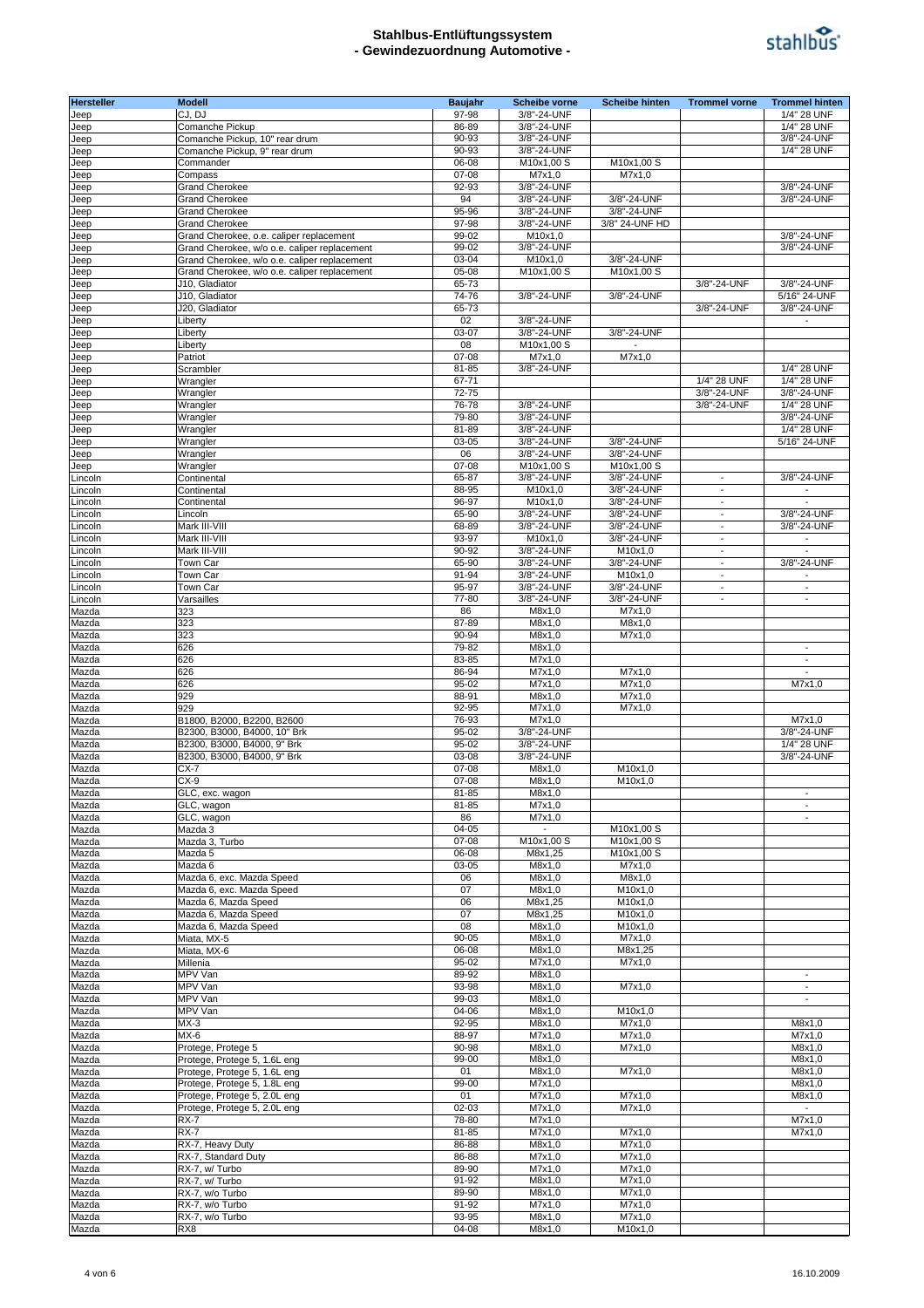

| Hersteller     | <b>Modell</b>                                | <b>Baujahr</b> | <b>Scheibe vorne</b> | <b>Scheibe hinten</b> | <b>Trommel vorne</b>     | <b>Trommel hinten</b>     |
|----------------|----------------------------------------------|----------------|----------------------|-----------------------|--------------------------|---------------------------|
| Jeep           | CJ, DJ                                       | 97-98          | 3/8"-24-UNF          |                       |                          | 1/4" 28 UNF               |
| Jeep           | Comanche Pickup                              | 86-89          | 3/8"-24-UNF          |                       |                          | 1/4" 28 UNF               |
| Jeep           | Comanche Pickup, 10" rear drum               | 90-93          | 3/8"-24-UNF          |                       |                          | 3/8"-24-UNF               |
| Jeep           | Comanche Pickup, 9" rear drum                | 90-93          | 3/8"-24-UNF          |                       |                          | 1/4" 28 UNF               |
| Jeep           | Commander                                    | 06-08          | M10x1,00 S           | M10x1,00 S            |                          |                           |
| Jeep           | Compass                                      | 07-08          | M7x1,0               | M7x1,0                |                          |                           |
| Jeep           | <b>Grand Cherokee</b>                        | 92-93          | 3/8"-24-UNF          |                       |                          | 3/8"-24-UNF               |
| Jeep           | <b>Grand Cherokee</b>                        | 94             | 3/8"-24-UNF          | 3/8"-24-UNF           |                          | 3/8"-24-UNF               |
| Jeep           | <b>Grand Cherokee</b>                        | 95-96          | 3/8"-24-UNF          | 3/8"-24-UNF           |                          |                           |
| Jeep           | <b>Grand Cherokee</b>                        | 97-98          | 3/8"-24-UNF          | 3/8" 24-UNF HD        |                          |                           |
| Jeep           | Grand Cherokee, o.e. caliper replacement     | 99-02          | M10x1,0              |                       |                          | 3/8"-24-UNF               |
| Jeep           | Grand Cherokee, w/o o.e. caliper replacement | 99-02          | 3/8"-24-UNF          |                       |                          | 3/8"-24-UNF               |
| Jeep           | Grand Cherokee, w/o o.e. caliper replacement | 03-04          | M10x1,0              | 3/8"-24-UNF           |                          |                           |
| Jeep           | Grand Cherokee, w/o o.e. caliper replacement | 05-08          | M10x1,00 S           | M10x1,00 S            |                          |                           |
| Jeep           | J10, Gladiator                               | 65-73          |                      |                       | 3/8"-24-UNF              | 3/8"-24-UNF               |
| Jeep           | J10, Gladiator                               | 74-76          | 3/8"-24-UNF          | 3/8"-24-UNF           |                          | 5/16" 24-UNF              |
| Jeep           | J20, Gladiator                               | 65-73          |                      |                       | 3/8"-24-UNF              | 3/8"-24-UNF               |
| Jeep           | Liberty                                      | 02             | 3/8"-24-UNF          |                       |                          |                           |
| Jeep           | Liberty                                      | 03-07          | 3/8"-24-UNF          | 3/8"-24-UNF           |                          |                           |
| Jeep           | Liberty                                      | 08             | M10x1,00 S           |                       |                          |                           |
| Jeep           | Patriot                                      | 07-08          | M7x1,0               | M7x1,0                |                          |                           |
| Jeep           | Scrambler                                    | 81-85          | 3/8"-24-UNF          |                       |                          | 1/4" 28 UNF               |
| Jeep           | Wrangler                                     | 67-71          |                      |                       | 1/4" 28 UNF              | 1/4" 28 UNF               |
| Jeep           | Wrangler                                     | 72-75          |                      |                       | 3/8"-24-UNF              | 3/8"-24-UNF               |
| Jeep           | Wrangler                                     | 76-78          | 3/8"-24-UNF          |                       | 3/8"-24-UNF              | $\overline{1}/4$ " 28 UNF |
| Jeep           | Wrangler                                     | 79-80          | 3/8"-24-UNF          |                       |                          | 3/8"-24-UNF               |
| Jeep           | Wrangler                                     | 81-89          | 3/8"-24-UNF          |                       |                          | 1/4" 28 UNF               |
| Jeep           | Wrangler                                     | 03-05          | 3/8"-24-UNF          | 3/8"-24-UNF           |                          | 5/16" 24-UNF              |
| Jeep           | Wrangler                                     | 06             | 3/8"-24-UNF          | 3/8"-24-UNF           |                          |                           |
| Jeep           | Wrangler                                     | 07-08          | M10x1,00 S           | M10x1,00 S            |                          |                           |
| Lincoln        | Continental                                  | 65-87          | 3/8"-24-UNF          | 3/8"-24-UNF           | $\overline{\phantom{a}}$ | 3/8"-24-UNF               |
| Lincoln        | Continental                                  | 88-95          | M10x1,0              | 3/8"-24-UNF           | $\overline{\phantom{a}}$ | $\overline{\phantom{a}}$  |
| Lincoln        | Continental                                  | 96-97          | M10x1,0              | 3/8"-24-UNF           | $\overline{\phantom{a}}$ |                           |
| Lincoln        | Lincoln                                      | 65-90          | 3/8"-24-UNF          | 3/8"-24-UNF           | $\overline{\phantom{a}}$ | 3/8"-24-UNF               |
| Lincoln        | Mark III-VIII                                | 68-89          | 3/8"-24-UNF          | 3/8"-24-UNF           | $\overline{\phantom{a}}$ | 3/8"-24-UNF               |
| Lincoln        | Mark III-VIII                                | 93-97          | M10x1,0              | 3/8"-24-UNF           | $\overline{a}$           |                           |
| Lincoln        | Mark III-VIII                                | 90-92          | 3/8"-24-UNF          | M10x1,0               | $\overline{\phantom{a}}$ | $\overline{\phantom{a}}$  |
| Lincoln        | Town Car                                     | 65-90          | 3/8"-24-UNF          | 3/8"-24-UNF           | $\overline{\phantom{a}}$ | 3/8"-24-UNF               |
| Lincoln        | Town Car                                     | 91-94          | 3/8"-24-UNF          | M10x1,0               | $\overline{a}$           |                           |
| Lincoln        | Town Car                                     | 95-97          | 3/8"-24-UNF          | 3/8"-24-UNF           | $\overline{\phantom{a}}$ | $\overline{\phantom{a}}$  |
| Lincoln        | Varsailles                                   | 77-80          | 3/8"-24-UNF          | 3/8"-24-UNF           | $\overline{a}$           | $\blacksquare$            |
| Mazda          | 323                                          | 86             | M8x1,0               | M7x1,0                |                          |                           |
| Mazda          | 323                                          | 87-89          | M8x1,0               | M8x1,0                |                          |                           |
| Mazda          | 323                                          | 90-94          | M8x1,0               | M7x1,0                |                          |                           |
| Mazda          | 626                                          | 79-82          | M8x1,0               |                       |                          | $\overline{\phantom{a}}$  |
| Mazda          | 626                                          | 83-85          | M7x1,0               |                       |                          |                           |
| Mazda          | 626                                          | 86-94          | M7x1,0               | M7x1,0                |                          | $\overline{\phantom{a}}$  |
| Mazda          | 626                                          | 95-02          | M7x1,0               | M7x1,0                |                          | M7x1,0                    |
| Mazda          | 929                                          | 88-91          | M8x1,0               | M7x1,0                |                          |                           |
| Mazda          | 929                                          | 92-95          | M7x1,0               | M7x1,0                |                          |                           |
| Mazda          | B1800, B2000, B2200, B2600                   | 76-93          | M7x1.0               |                       |                          | M7x1,0                    |
| Mazda          | B2300, B3000, B4000, 10" Brk                 | 95-02          | 3/8"-24-UNF          |                       |                          | 3/8"-24-UNF               |
| Mazda          | B2300, B3000, B4000, 9" Brk                  | 95-02          | 3/8"-24-UNF          |                       |                          | 1/4" 28 UNF               |
| Mazda          | B2300, B3000, B4000, 9" Brk                  | 03-08          | 3/8"-24-UNF          |                       |                          | 3/8"-24-UNF               |
| Mazda          | CX-7                                         | 07-08          | M8x1,0               | M10x1,0               |                          |                           |
| Mazda          | CX-9                                         | 07-08          | M8x1,0               | M10x1.0               |                          |                           |
| Mazda          | GLC, exc. wagon                              | 81-85          | M8x1.0               |                       |                          |                           |
| Mazda          | GLC, wagon                                   | 81-85          | M7x1,0               |                       |                          | $\overline{\phantom{a}}$  |
| Mazda          | GLC, wagon                                   | 86             | M7x1,0               |                       |                          | $\overline{\phantom{a}}$  |
| Mazda          | Mazda 3                                      | 04-05          |                      | M10x1,00 S            |                          |                           |
| Mazda          | Mazda 3, Turbo                               | 07-08          | M10x1,00 S           | M10x1,00 S            |                          |                           |
| Mazda          | Mazda 5                                      | 06-08          | M8x1,25              | M10x1,00 S            |                          |                           |
| Mazda          | Mazda 6                                      | 03-05          | M8x1,0               | M7x1,0                |                          |                           |
| Mazda          | Mazda 6, exc. Mazda Speed                    | 06             | M8x1,0               | M8x1,0                |                          |                           |
| Mazda          | Mazda 6, exc. Mazda Speed                    | 07             | M8x1,0               | M10x1,0               |                          |                           |
| Mazda          | Mazda 6, Mazda Speed                         | 06             | M8x1,25              | M10x1,0               |                          |                           |
| Mazda          | Mazda 6, Mazda Speed                         | 07             | M8x1,25              | M10x1,0               |                          |                           |
| Mazda          | Mazda 6, Mazda Speed                         | 08             | M8x1,0               | M10x1,0               |                          |                           |
| Mazda          | Miata, MX-5                                  | 90-05          | M8x1,0               | M7x1,0                |                          |                           |
| Mazda          | Miata, MX-6                                  | 06-08          | M8x1,0               | M8x1,25               |                          |                           |
| Mazda          | Millenia                                     | 95-02          | M7x1,0               | M7x1,0                |                          |                           |
|                | MPV Van                                      | 89-92          | M8x1,0               |                       |                          |                           |
| Mazda          | MPV Van                                      | 93-98          | M8x1,0               | M7x1,0                |                          | $\overline{\phantom{a}}$  |
| Mazda          | MPV Van                                      | 99-03          | M8x1,0               |                       |                          | $\overline{\phantom{a}}$  |
| Mazda          |                                              |                |                      |                       |                          |                           |
| Mazda<br>Mazda | MPV Van<br>$MX-3$                            | 04-06<br>92-95 | M8x1,0<br>M8x1,0     | M10x1,0<br>M7x1,0     |                          | M8x1,0                    |
|                | MX-6                                         | 88-97          |                      |                       |                          | M7x1,0                    |
| Mazda          |                                              | 90-98          | M7x1,0               | M7x1,0                |                          | M8x1,0                    |
| Mazda          | Protege, Protege 5                           |                | M8x1,0               | M7x1,0                |                          |                           |
| Mazda          | Protege, Protege 5, 1.6L eng                 | 99-00          | M8x1,0               |                       |                          | M8x1,0                    |
| Mazda          | Protege, Protege 5, 1.6L eng                 | 01             | M8x1,0               | M7x1,0                |                          | M8x1,0                    |
| Mazda          | Protege, Protege 5, 1.8L eng                 | 99-00          | M7x1,0               |                       |                          | M8x1,0                    |
| Mazda          | Protege, Protege 5, 2.0L eng                 | 01             | M7x1,0               | M7x1,0                |                          | M8x1,0                    |
| Mazda          | Protege, Protege 5, 2.0L eng                 | 02-03          | M7x1,0               | M7x1,0                |                          | $\sim$                    |
| Mazda          | <b>RX-7</b>                                  | 78-80          | M7x1,0               |                       |                          | M7x1,0                    |
| Mazda          | <b>RX-7</b>                                  | 81-85          | M7x1,0               | M7x1,0                |                          | M7x1,0                    |
| Mazda          | RX-7, Heavy Duty                             | 86-88          | M8x1,0               | M7x1,0                |                          |                           |
| Mazda          | RX-7, Standard Duty                          | 86-88          | M7x1,0               | M7x1,0                |                          |                           |
| Mazda          | RX-7, w/ Turbo                               | 89-90          | M7x1,0               | M7x1,0                |                          |                           |
| Mazda          | RX-7, w/ Turbo                               | 91-92          | M8x1,0               | M7x1,0                |                          |                           |
| Mazda          | RX-7, w/o Turbo                              | 89-90          | M8x1,0               | M7x1,0                |                          |                           |
| Mazda          | RX-7, w/o Turbo                              | 91-92          | M7x1,0               | M7x1,0                |                          |                           |
| Mazda          | RX-7, w/o Turbo                              | 93-95          | M8x1,0               | M7x1,0                |                          |                           |
| Mazda          | RX8                                          | 04-08          | M8x1,0               | M10x1,0               |                          |                           |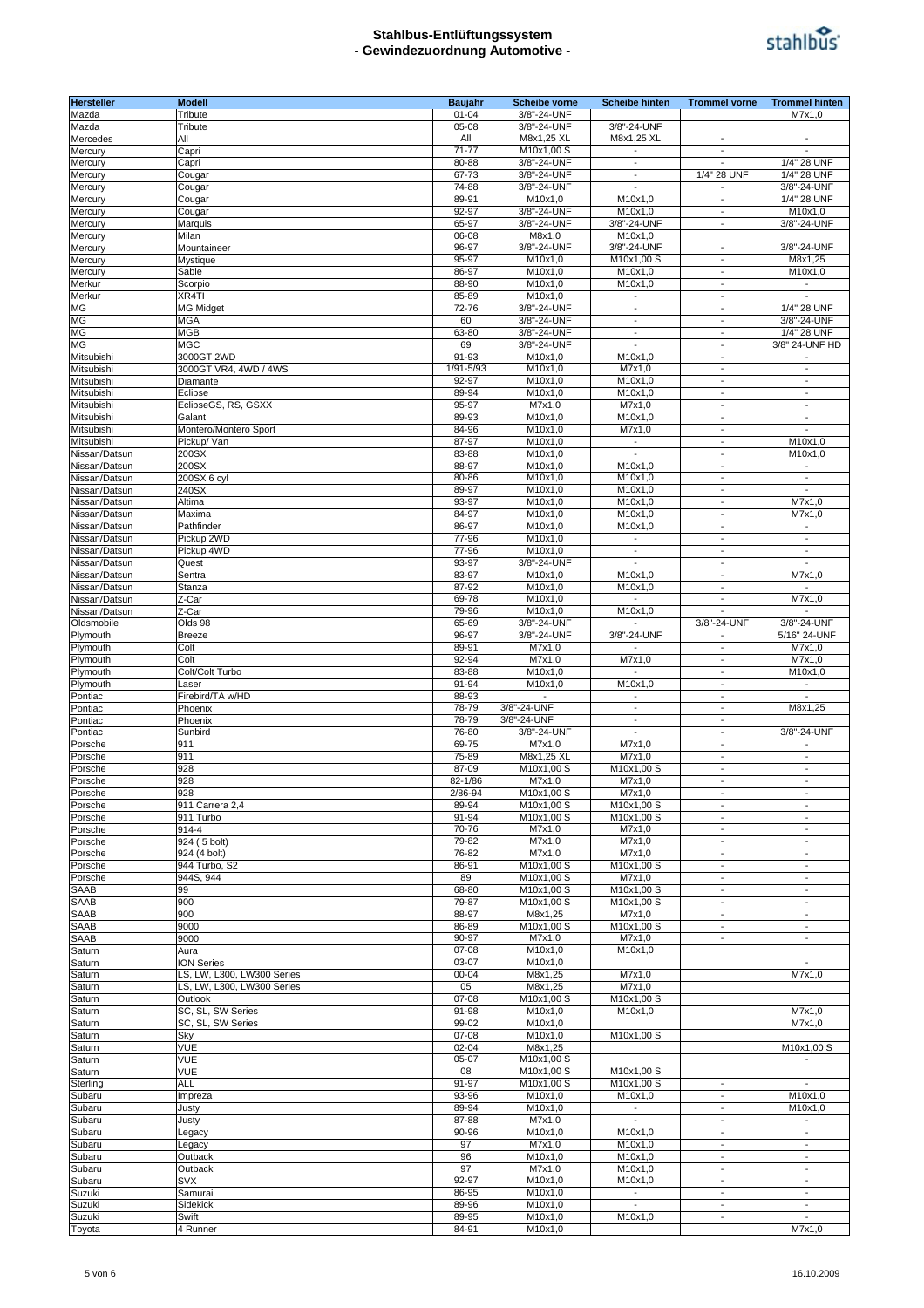

| Hersteller                     | <b>Modell</b>                            | <b>Baujahr</b>         | <b>Scheibe vorne</b>             | <b>Scheibe hinten</b>                      | <b>Trommel vorne</b>                                 | <b>Trommel hinten</b>                                |
|--------------------------------|------------------------------------------|------------------------|----------------------------------|--------------------------------------------|------------------------------------------------------|------------------------------------------------------|
| Mazda<br>Mazda                 | Tribute<br>Tribute                       | $01 - 04$<br>$05 - 08$ | 3/8"-24-UNF<br>3/8"-24-UNF       | 3/8"-24-UNF                                |                                                      | M7x1,0                                               |
| Mercedes                       | All                                      | All                    | M8x1,25 XL                       | M8x1,25 XL                                 | $\overline{\phantom{a}}$                             | $\overline{\phantom{a}}$                             |
| Mercury                        | Capri                                    | 71-77                  | M10x1,00 S                       |                                            | $\mathbf{r}$                                         |                                                      |
| Mercury                        | Capri                                    | 80-88                  | 3/8"-24-UNF                      | $\overline{\phantom{a}}$                   |                                                      | 1/4" 28 UNF                                          |
| Mercury                        | Cougar                                   | 67-73                  | 3/8"-24-UNF                      | $\blacksquare$                             | 1/4" 28 UNF                                          | 1/4" 28 UNF                                          |
| Mercury                        | Cougar                                   | $\overline{7}$ 4-88    | 3/8"-24-UNF                      |                                            | $\overline{\phantom{a}}$                             | 3/8"-24-UNF                                          |
| Mercury                        | Cougar                                   | 89-91                  | M10x1,0                          | M10x1,0                                    | $\overline{\phantom{a}}$                             | 1/4" 28 UNF                                          |
| Mercury<br>Mercury             | Cougar<br>Marquis                        | 92-97<br>65-97         | 3/8"-24-UNF<br>3/8"-24-UNF       | M10x1,0<br>3/8"-24-UNF                     | $\overline{\phantom{a}}$<br>$\overline{\phantom{a}}$ | M10x1,0<br>3/8"-24-UNF                               |
| Mercury                        | Milan                                    | 06-08                  | M8x1,0                           | M10x1,0                                    |                                                      |                                                      |
| Mercury                        | Mountaineer                              | 96-97                  | 3/8"-24-UNF                      | 3/8"-24-UNF                                | $\overline{\phantom{a}}$                             | 3/8"-24-UNF                                          |
| Mercury                        | Mystique                                 | 95-97                  | M10x1,0                          | M10x1,00 S                                 | $\overline{\phantom{a}}$                             | M8x1,25                                              |
| Mercury                        | Sable                                    | 86-97                  | M10x1,0                          | M10x1,0                                    | $\overline{\phantom{a}}$                             | M10x1,0                                              |
| Merkur                         | Scorpio                                  | 88-90                  | M10x1,0                          | M10x1,0                                    | $\overline{a}$                                       | $\blacksquare$                                       |
| Merkur                         | XR4TI                                    | 85-89                  | M10x1,0                          | $\overline{\phantom{a}}$                   | $\overline{\phantom{a}}$                             | $\overline{a}$                                       |
| ΜG<br>ΜG                       | <b>MG Midget</b><br><b>MGA</b>           | 72-76<br>60            | 3/8"-24-UNF<br>3/8"-24-UNF       | $\overline{\phantom{a}}$<br>$\blacksquare$ | $\overline{\phantom{a}}$<br>$\overline{\phantom{a}}$ | 1/4" 28 UNF<br>3/8"-24-UNF                           |
| МG                             | <b>MGB</b>                               | 63-80                  | 3/8"-24-UNF                      | $\overline{\phantom{a}}$                   | $\overline{\phantom{a}}$                             | 1/4" 28 UNF                                          |
| ΜG                             | <b>MGC</b>                               | 69                     | 3/8"-24-UNF                      | $\overline{a}$                             | $\overline{\phantom{a}}$                             | 3/8" 24-UNF HD                                       |
| Mitsubishi                     | 3000GT 2WD                               | 91-93                  | M10x1,0                          | M10x1,0                                    | $\overline{\phantom{a}}$                             |                                                      |
| Mitsubishi                     | 3000GT VR4, 4WD / 4WS                    | 1/91-5/93              | M10x1,0                          | M7x1,0                                     | $\overline{\phantom{a}}$                             | $\overline{\phantom{a}}$                             |
| Mitsubishi                     | Diamante                                 | 92-97                  | M10x1,0                          | M10x1,0                                    | $\overline{\phantom{a}}$                             | $\overline{\phantom{a}}$                             |
| Mitsubishi                     | Eclipse                                  | 89-94                  | M10x1,0                          | M10x1,0                                    | $\overline{\phantom{a}}$                             | $\overline{\phantom{a}}$                             |
| Mitsubishi<br>Mitsubishi       | EclipseGS, RS, GSXX<br>Galant            | 95-97<br>89-93         | M7x1,0<br>M10x1,0                | M7x1,0<br>M10x1,0                          | $\overline{a}$<br>$\overline{\phantom{a}}$           | $\overline{\phantom{a}}$<br>$\centerdot$             |
| Mitsubishi                     | Montero/Montero Sport                    | 84-96                  | $\overline{M}$ 10x1,0            | M7x1,0                                     | $\overline{\phantom{a}}$                             | $\overline{\phantom{a}}$                             |
| Mitsubishi                     | Pickup/ Van                              | 87-97                  | M10x1,0                          | $\blacksquare$                             | $\overline{\phantom{a}}$                             | M10x1,0                                              |
| Nissan/Datsun                  | 200SX                                    | 83-88                  | M10x1,0                          |                                            | $\mathbf{r}$                                         | M10x1,0                                              |
| Nissan/Datsun                  | 200SX                                    | 88-97                  | M10x1,0                          | M10x1,0                                    | $\overline{\phantom{a}}$                             | $\overline{\phantom{a}}$                             |
| Nissan/Datsun                  | 200SX 6 cyl                              | 80-86                  | M10x1.0                          | M10x1,0                                    | $\overline{\phantom{a}}$                             | $\overline{\phantom{a}}$                             |
| Nissan/Datsun                  | 240SX                                    | 89-97                  | M10x1,0                          | M10x1,0                                    | $\overline{\phantom{a}}$                             | $\overline{\phantom{a}}$                             |
| Nissan/Datsun<br>Nissan/Datsun | Altima<br>Maxima                         | 93-97<br>84-97         | M10x1,0<br>M10x1,0               | M10x1,0<br>M10x1,0                         | $\overline{\phantom{a}}$<br>$\overline{\phantom{a}}$ | M7x1,0<br>M7x1,0                                     |
| Nissan/Datsun                  | Pathfinder                               | 86-97                  | M10x1,0                          | M10x1,0                                    | $\overline{a}$                                       | $\overline{\phantom{a}}$                             |
| Nissan/Datsun                  | Pickup 2WD                               | 77-96                  | M10x1,0                          | $\overline{\phantom{a}}$                   | $\overline{\phantom{a}}$                             | $\overline{\phantom{a}}$                             |
| Nissan/Datsun                  | Pickup 4WD                               | 77-96                  | $\overline{M}$ 10x1,0            | $\overline{\phantom{a}}$                   | $\overline{\phantom{a}}$                             | $\overline{\phantom{a}}$                             |
| Nissan/Datsun                  | Quest                                    | 93-97                  | 3/8"-24-UNF                      |                                            | $\overline{\phantom{a}}$                             |                                                      |
| Nissan/Datsun                  | Sentra                                   | 83-97                  | M10x1,0                          | M10x1,0                                    | $\overline{\phantom{a}}$                             | M7x1,0                                               |
| Nissan/Datsun                  | Stanza                                   | 87-92                  | M10x1,0                          | M10x1,0                                    | $\overline{\phantom{a}}$<br>$\overline{a}$           | $\overline{\phantom{a}}$                             |
| Nissan/Datsun<br>Nissan/Datsun | Z-Car<br>Z-Car                           | 69-78<br>79-96         | M10x1,0<br>M10x1,0               | M10x1,0                                    | $\overline{\phantom{a}}$                             | M7x1,0<br>$\sim$                                     |
| Oldsmobile                     | Olds 98                                  | 65-69                  | 3/8"-24-UNF                      |                                            | 3/8"-24-UNF                                          | 3/8"-24-UNF                                          |
| Plymouth                       | <b>Breeze</b>                            | 96-97                  | 3/8"-24-UNF                      | 3/8"-24-UNF                                |                                                      | 5/16" 24-UNF                                         |
| Plymouth                       | Colt                                     | 89-91                  | M7x1,0                           |                                            | $\overline{\phantom{a}}$                             | M7x1,0                                               |
| Plymouth                       | Colt                                     | 92-94                  | M7x1,0                           | M7x1,0                                     | $\overline{\phantom{a}}$                             | M7x1,0                                               |
| Plymouth                       | Colt/Colt Turbo                          | 83-88                  | M <sub>10</sub> x <sub>1,0</sub> |                                            | $\overline{\phantom{a}}$                             | M10x1,0                                              |
| Plymouth<br>Pontiac            | Laser<br>Firebird/TA w/HD                | 91-94<br>88-93         | M10x1,0                          | M10x1,0                                    | $\overline{\phantom{a}}$<br>$\overline{\phantom{a}}$ | $\overline{\phantom{a}}$                             |
| Pontiac                        | Phoenix                                  | 78-79                  | 3/8"-24-UNF                      | $\overline{\phantom{a}}$                   | $\overline{\phantom{a}}$                             | M8x1,25                                              |
| Pontiac                        | Phoenix                                  | 78-79                  | 3/8"-24-UNF                      | $\overline{\phantom{a}}$                   |                                                      |                                                      |
| Pontiac                        | Sunbird                                  | 76-80                  | 3/8"-24-UNF                      | $\overline{\phantom{a}}$                   | $\overline{\phantom{a}}$                             | 3/8"-24-UNF                                          |
| Porsche                        | 911                                      | 69-75                  | M7x1,0                           | M7x1,0                                     | $\blacksquare$                                       | $\overline{\phantom{a}}$                             |
| Porsche                        | 911                                      | 75-89                  | M8x1,25 XL                       | M7x1,0                                     | $\overline{a}$                                       | $\overline{\phantom{a}}$                             |
| Porsche                        | 928                                      | 87-09                  | M10x1,00 S                       | M10x1,00 S                                 | $\overline{a}$                                       | $\overline{a}$                                       |
| Porsche<br>Porsche             | 928<br>928                               | 82-1/86<br>2/86-94     | M7x1,0<br>M10x1,00 S             | M7x1,0<br>M7x1,0                           | $\overline{\phantom{a}}$                             | $\overline{a}$                                       |
| Porsche                        | 911 Carrera 2,4                          | 89-94                  | M10x1,00 S                       | M10x1,00 S                                 | $\overline{\phantom{a}}$                             | $\overline{\phantom{a}}$                             |
| Porsche                        | 911 Turbo                                | 91-94                  | M10x1,00 S                       | M10x1,00 S                                 | $\overline{\phantom{a}}$                             | $\overline{\phantom{a}}$                             |
| Porsche                        | 914-4                                    | 70-76                  | M7x1,0                           | M7x1,0                                     | $\overline{\phantom{a}}$                             | $\overline{\phantom{a}}$                             |
| Porsche                        | 924 (5 bolt)                             | 79-82                  | M7x1,0                           | M7x1,0                                     | $\overline{\phantom{a}}$                             | $\overline{\phantom{a}}$                             |
| Porsche                        | 924 (4 bolt)                             | 76-82                  | M7x1,0                           | M7x1,0                                     | $\overline{\phantom{a}}$                             | $\overline{\phantom{a}}$                             |
| Porsche                        | 944 Turbo, S2                            | 86-91                  | M10x1,00 S<br>M10x1,00 S         | M10x1,00 S                                 | $\overline{\phantom{a}}$<br>$\overline{\phantom{a}}$ | $\blacksquare$<br>$\overline{\phantom{a}}$           |
| Porsche<br>SAAB                | 944S, 944<br>99                          | 89<br>68-80            | M10x1,00 S                       | M7x1,0<br>M10x1,00 S                       | $\overline{\phantom{a}}$                             | $\overline{\phantom{a}}$                             |
| SAAB                           | 900                                      | 79-87                  | M10x1,00 S                       | M10x1,00 S                                 | $\overline{\phantom{a}}$                             | $\blacksquare$                                       |
| SAAB                           | 900                                      | 88-97                  | M8x1,25                          | M7x1,0                                     | $\overline{a}$                                       | $\overline{\phantom{a}}$                             |
| SAAB                           | 9000                                     | 86-89                  | M10x1,00 S                       | M10x1,00 S                                 | $\overline{\phantom{a}}$                             | $\overline{\phantom{a}}$                             |
| SAAB                           | 9000                                     | 90-97                  | M7x1,0                           | M7x1,0                                     | $\overline{\phantom{a}}$                             | $\overline{a}$                                       |
| Saturn                         | Aura                                     | 07-08<br>03-07         | M10x1,0                          | M10x1,0                                    |                                                      |                                                      |
| Saturn<br>Saturn               | ION Series<br>LS, LW, L300, LW300 Series | 00-04                  | M10x1,0<br>M8x1,25               | M7x1,0                                     |                                                      | M7x1,0                                               |
| Saturn                         | LS, LW, L300, LW300 Series               | 05                     | M8x1,25                          | M7x1,0                                     |                                                      |                                                      |
| Saturn                         | Outlook                                  | 07-08                  | M10x1,00 S                       | M10x1,00 S                                 |                                                      |                                                      |
| Saturn                         | SC, SL, SW Series                        | 91-98                  | M10x1,0                          | M10x1,0                                    |                                                      | M7x1,0                                               |
| Saturn                         | SC, SL, SW Series                        | 99-02                  | M10x1,0                          |                                            |                                                      | M7x1,0                                               |
| Saturn                         | Sky                                      | 07-08                  | M10x1,0                          | M10x1,00 S                                 |                                                      |                                                      |
| Saturn<br>Saturn               | VUE<br><b>VUE</b>                        | 02-04<br>05-07         | M8x1,25<br>M10x1,00 S            |                                            |                                                      | M10x1,00 S<br>$\overline{\phantom{a}}$               |
| Saturn                         | VUE                                      | 08                     | M10x1,00 S                       | M10x1,00 S                                 |                                                      |                                                      |
| Sterling                       | ALL                                      | 91-97                  | M10x1,00 S                       | M10x1,00 S                                 | $\overline{\phantom{a}}$                             |                                                      |
| Subaru                         | Impreza                                  | 93-96                  | M10x1,0                          | M10x1,0                                    | $\overline{\phantom{a}}$                             | M10x1,0                                              |
| Subaru                         | Justy                                    | 89-94                  | M10x1,0                          | $\overline{\phantom{a}}$                   | $\blacksquare$                                       | M10x1,0                                              |
| Subaru                         | Justy                                    | 87-88                  | M7x1,0                           |                                            | $\overline{\phantom{a}}$                             |                                                      |
| Subaru                         | Legacy                                   | 90-96                  | M10x1,0                          | M10x1,0                                    | $\overline{\phantom{a}}$                             | $\overline{\phantom{a}}$                             |
| Subaru<br>Subaru               | Legacy<br>Outback                        | 97<br>96               | M7x1,0<br>M10x1,0                | M10x1,0<br>M10x1,0                         | $\overline{\phantom{a}}$<br>$\overline{\phantom{a}}$ | $\overline{\phantom{a}}$<br>$\overline{\phantom{a}}$ |
| Subaru                         | Outback                                  | 97                     | M7x1,0                           | M10x1,0                                    | $\blacksquare$                                       | $\overline{\phantom{a}}$                             |
| Subaru                         | <b>SVX</b>                               | 92-97                  | M10x1,0                          | M10x1,0                                    | $\overline{\phantom{a}}$                             | $\overline{\phantom{a}}$                             |
| Suzuki                         | Samurai                                  | 86-95                  | M10x1,0                          | $\overline{\phantom{a}}$                   | $\overline{\phantom{a}}$                             | $\overline{\phantom{a}}$                             |
| Suzuki                         | Sidekick                                 | 89-96                  | M10x1,0                          |                                            | $\overline{\phantom{a}}$                             | $\overline{\phantom{a}}$                             |
| Suzuki                         | Swift                                    | 89-95                  | M10x1,0                          | M10x1,0                                    | $\overline{\phantom{a}}$                             | $\overline{\phantom{a}}$                             |
| Toyota                         | 4 Runner                                 | 84-91                  | M10x1,0                          |                                            |                                                      | M7x1,0                                               |